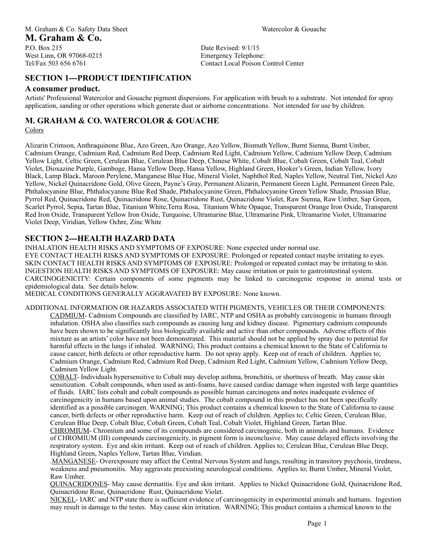Date Revised: 9/1/15 Emergency Telephone: Contact Local Poison Control Center

# **SECTION 1---PRODUCT IDENTIFICATION**

#### **A consumer product.**

Artists' Professional Watercolor and Gouache pigment dispersions. For application with brush to a substrate. Not intended for spray application, sanding or other operations which generate dust or airborne concentrations. Not intended for use by children.

### **M. GRAHAM & CO. WATERCOLOR & GOUACHE**

#### Colors

Alizarin Crimson, Anthraquinone Blue , Azo Green , Azo Orange, Azo Yellow, Bismuth Yellow, Burnt Sienna, Burnt Umber, Cadmium Orange, Cadmium Red, Cadmium Red Deep , Cadmium Red Light, Cadmium Yellow, Cadmium Yellow Deep, Cadmium Yellow Light, Celtic Green, Cerulean Blue, Cerulean Blue Deep, Chinese White, Cobalt Blue, Cobalt Green, Cobalt Teal, Cobalt Violet, Dioxazine Purple, Gamboge, Hansa Yellow Deep, Hansa Yellow, Highland Green, Hooker's Green, Indian Yellow, Ivory Black, Lamp Black, Maroon Perylene, Manganese Blue Hue, Mineral Violet, Naphthol Red, Naples Yellow, Neutral Tint, Nickel Azo Yellow , Nickel Quinacridone Gold, Olive Green, Payne's Gray, Permanent Alizarin, Permanent Green Light, Permanent Green Pale, Phthalocyanine Blue, Phthalocyanine Blue Red Shade, Phthalocyanine Green, Phthalocyanine Green Yellow Shade, Prussian Blue, Pyrrol Red, Quinacridone Red, Quinacridone Rose, Quinacridone Rust, Quinacridone Violet, Raw Sienna, Raw Umber, Sap Green, Scarlet Pyrrol, Sepia, Tartan Blue, Titanium White,Terra Rosa, Titanium White Opaque, Transparent Orange Iron Oxide, Transparent Red Iron Oxide, Transparent Yellow Iron Oxide, Turquoise, Ultramarine Blue, Ultramarine Pink, Ultramarine Violet, Ultramarine Violet Deep, Viridian, Yellow Ochre, Zinc White

### **SECTION 2---HEALTH HAZARD DATA**

INHALATION HEALTH RISKS AND SYMPTOMS OF EXPOSURE: None expected under normal use.

EYE CONTACT HEALTH RISKS AND SYMPTOMS OF EXPOSURE: Prolonged or repeated contact maybe irritating to eyes. SKIN CONTACT HEALTH RISKS AND SYMPTOMS OF EXPOSURE: Prolonged or repeated contact may be irritating to skin. INGESTION HEALTH RISKS AND SYMPTOMS OF EXPOSURE: May cause irritation or pain to gastrointestinal system. CARCINOGENICITY: Certain components of some pigments may be linked to carcinogenic response in animal tests or epidemiological data. See details below.

MEDICAL CONDITIONS GENERALLY AGGRAVATED BY EXPOSURE: None known.

ADDITIONAL INFORMATION OR HAZARDS ASSOCIATED WITH PIGMENTS, VEHICLES OR THEIR COMPONENTS: CADMIUM- Cadmium Compounds are classified by IARC, NTP and OSHA as probably carcinogenic in humans through inhalation. OSHA also classifies such compounds as causing lung and kidney disease. Pigmentary cadmium compounds have been shown to be significantly less biologically available and active than other compounds. Adverse effects of this mixture as an artists' color have not been demonstrated. This material should not be applied by spray due to potential for harmful effects in the lungs if inhaled. WARNING; This product contains a chemical known to the State of California to cause cancer, birth defects or other reproductive harm. Do not spray apply. Keep out of reach of children. Applies to; Cadmium Orange, Cadmium Red, Cadmium Red Deep, Cadmium Red Light, Cadmium Yellow, Cadmium Yellow Deep, Cadmium Yellow Light.

COBALT- Individuals hypersensitive to Cobalt may develop asthma, bronchitis, or shortness of breath. May cause skin sensitization. Cobalt compounds, when used as anti-foams, have caused cardiac damage when ingested with large quantities of fluids. IARC lists cobalt and cobalt compounds as possible human carcinogens and notes inadequate evidence of carcinogenicity in humans based upon animal studies. The cobalt compound in this product has not been specifically identified as a possible carcinogen. WARNING; This product contains a chemical known to the State of California to cause cancer, birth defects or other reproductive harm. Keep out of reach of children. Applies to; Celtic Green, Cerulean Blue, Cerulean Blue Deep, Cobalt Blue, Cobalt Green, Cobalt Teal, Cobalt Violet, Highland Green, Tartan Blue.

CHROMIUM- Chromium and some of its compounds are considered carcinogenic, both in animals and humans. Evidence of CHROMIUM (III) compounds carcinogenicity, in pigment form is inconclusive. May cause delayed effects involving the respiratory system. Eye and skin irritant. Keep out of reach of children. Applies to; Cerulean Blue, Cerulean Blue Deep, Highland Green, Naples Yellow, Tartan Blue, Viridian.

.MANGANESE- Overexposure may affect the Central Nervous System and lungs, resulting in transitory psychosis, tiredness, weakness and pneumonitis. May aggravate preexisting neurological conditions. Applies to; Burnt Umber, Mineral Violet, Raw Umber.

QUINACRIDONES- May cause dermatitis. Eye and skin irritant. Applies to Nickel Quinacridone Gold, Quinacridone Red, Quinacridone Rose, Quinacridone Rust, Quinacridone Violet.

NICKEL- IARC and NTP state there is sufficient evidence of carcinogenicity in experimental animals and humans. Ingestion may result in damage to the testes. May cause skin irritation. WARNING; This product contains a chemical known to the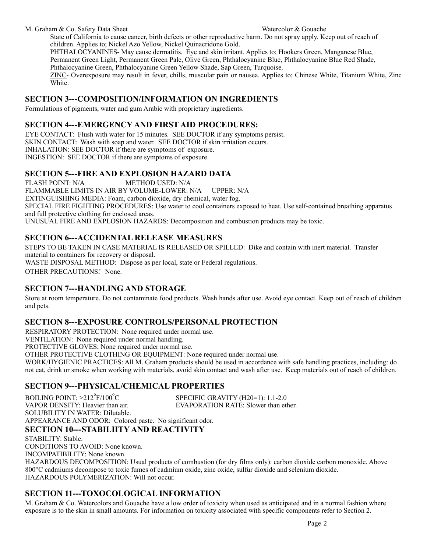#### M. Graham & Co. Safety Data Sheet Watercolor & Gouache

State of California to cause cancer, birth defects or other reproductive harm. Do not spray apply. Keep out of reach of children. Applies to; Nickel Azo Yellow, Nickel Quinacridone Gold.

PHTHALOCYANINES- May cause dermatitis. Eye and skin irritant. Applies to; Hookers Green, Manganese Blue, Permanent Green Light, Permanent Green Pale, Olive Green, Phthalocyanine Blue, Phthalocyanine Blue Red Shade, Phthalocyanine Green, Phthalocyanine Green Yellow Shade, Sap Green, Turquoise. ZINC- Overexposure may result in fever, chills, muscular pain or nausea. Applies to; Chinese White, Titanium White, Zinc White.

### **SECTION 3---COMPOSITION/INFORMATION ON INGREDIENTS**

Formulations of pigments, water and gum Arabic with proprietary ingredients.

### **SECTION 4---EMERGENCY AND FIRST AID PROCEDURES:**

EYE CONTACT: Flush with water for 15 minutes. SEE DOCTOR if any symptoms persist. SKIN CONTACT: Wash with soap and water. SEE DOCTOR if skin irritation occurs. INHALATION: SEE DOCTOR if there are symptoms of exposure. INGESTION: SEE DOCTOR if there are symptoms of exposure.

### **SECTION 5---FIRE AND EXPLOSION HAZARD DATA**

FLASH POINT: N/A METHOD USED: N/A FLAMMABLE LIMITS IN AIR BY VOLUME-LOWER: N/A UPPER: N/A EXTINGUISHING MEDIA: Foam, carbon dioxide, dry chemical, water fog. SPECIAL FIRE FIGHTING PROCEDURES: Use water to cool containers exposed to heat. Use self-contained breathing apparatus and full protective clothing for enclosed areas. UNUSUAL FIRE AND EXPLOSION HAZARDS: Decomposition and combustion products may be toxic.

### **SECTION 6---ACCIDENTAL RELEASE MEASURES**

STEPS TO BE TAKEN IN CASE MATERIAL IS RELEASED OR SPILLED: Dike and contain with inert material. Transfer material to containers for recovery or disposal. WASTE DISPOSAL METHOD: Dispose as per local, state or Federal regulations. OTHER PRECAUTIONS*:* None.

### **SECTION 7---HANDLING AND STORAGE**

Store at room temperature. Do not contaminate food products. Wash hands after use. Avoid eye contact. Keep out of reach of children and pets.

# **SECTION 8---EXPOSURE CONTROLS/PERSONAL PROTECTION**

RESPIRATORY PROTECTION: None required under normal use.

VENTILATION: None required under normal handling.

PROTECTIVE GLOVES; None required under normal use.

OTHER PROTECTIVE CLOTHING OR EQUIPMENT: None required under normal use.

WORK/HYGIENIC PRACTICES: All M. Graham products should be used in accordance with safe handling practices, including: do not eat, drink or smoke when working with materials, avoid skin contact and wash after use. Keep materials out of reach of children.

# **SECTION 9---PHYSICAL/CHEMICAL PROPERTIES**

BOILING POINT:  $>212^{\circ}$ F/100 $^{\circ}$ C SPECIFIC GRAVITY (H20=1): 1.1-2.0 VAPOR DENSITY: Heavier than air. EVAPORATION RATE: Slower than ether. SOLUBILITY IN WATER: Dilutable. APPEARANCE AND ODOR: Colored paste. No significant odor.

### **SECTION 10---STABILIITY AND REACTIVITY**

STABILITY: Stable. CONDITIONS TO AVOID: None known. INCOMPATIBILITY: None known. HAZARDOUS DECOMPOSITION: Usual products of combustion (for dry films only): carbon dioxide carbon monoxide. Above 800°C cadmiums decompose to toxic fumes of cadmium oxide, zinc oxide, sulfur dioxide and selenium dioxide. HAZARDOUS POLYMERIZATION: Will not occur.

# **SECTION 11---TOXOCOLOGICAL INFORMATION**

M. Graham & Co. Watercolors and Gouache have a low order of toxicity when used as anticipated and in a normal fashion where exposure is to the skin in small amounts. For information on toxicity associated with specific components refer to Section 2.